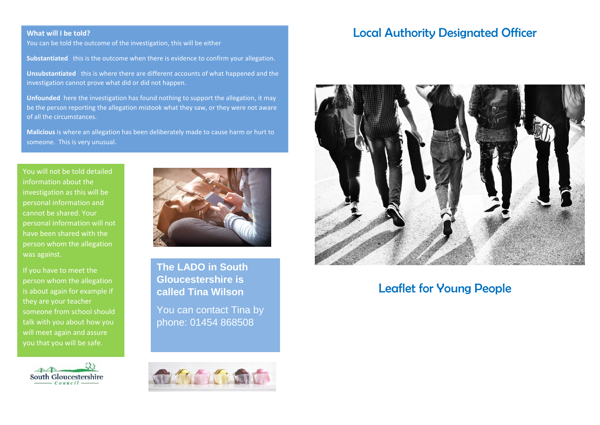### **What will I be told?**

You can be told the outcome of the investigation, this will be either

**Substantiated** this is the outcome when there is evidence to confirm your allegation.

**Unsubstantiated** this is where there are different accounts of what happened and the investigation cannot prove what did or did not happen.

**Unfounded** here the investigation has found nothing to support the allegation, it may be the person reporting the allegation mistook what they saw, or they were not aware of all the circumstances.

**Malicious** is where an allegation has been deliberately made to cause harm or hurt to someone. This is very unusual.

You will not be told detailed information about the investigation as this will be personal information and cannot be shared. Your personal information will not have been shared with the person whom the allegation was against.

If you have to meet the person whom the allegation is about again for example if they are your teacher someone from school should talk with you about how you will meet again and assure you that you will be safe.





**The LADO in South Gloucestershire is called Tina Wilson**

You can contact Tina by phone: 01454 868508



# Local Authority Designated Officer



## Leaflet for Young People